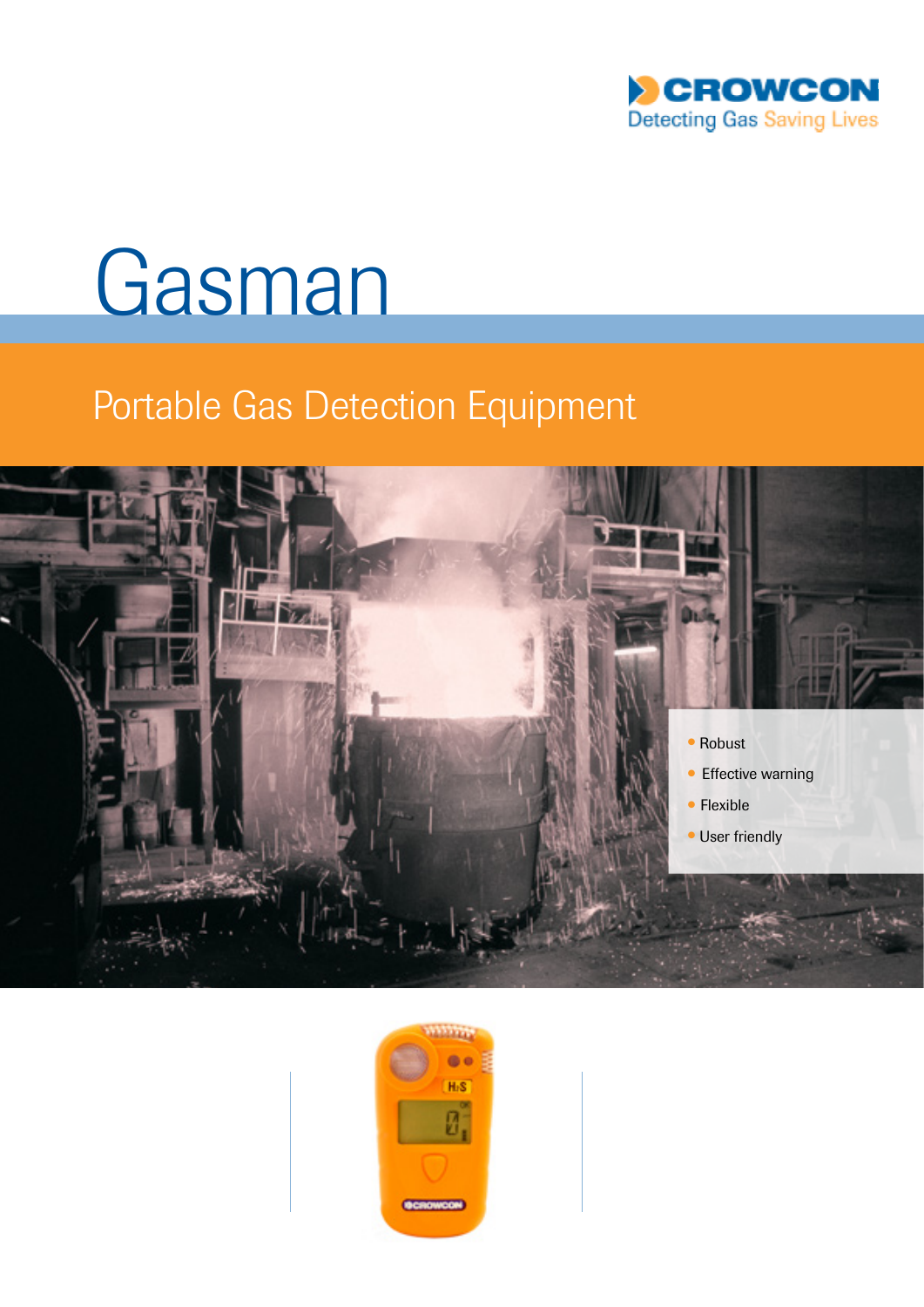



## Portable Gas Detection Equipment



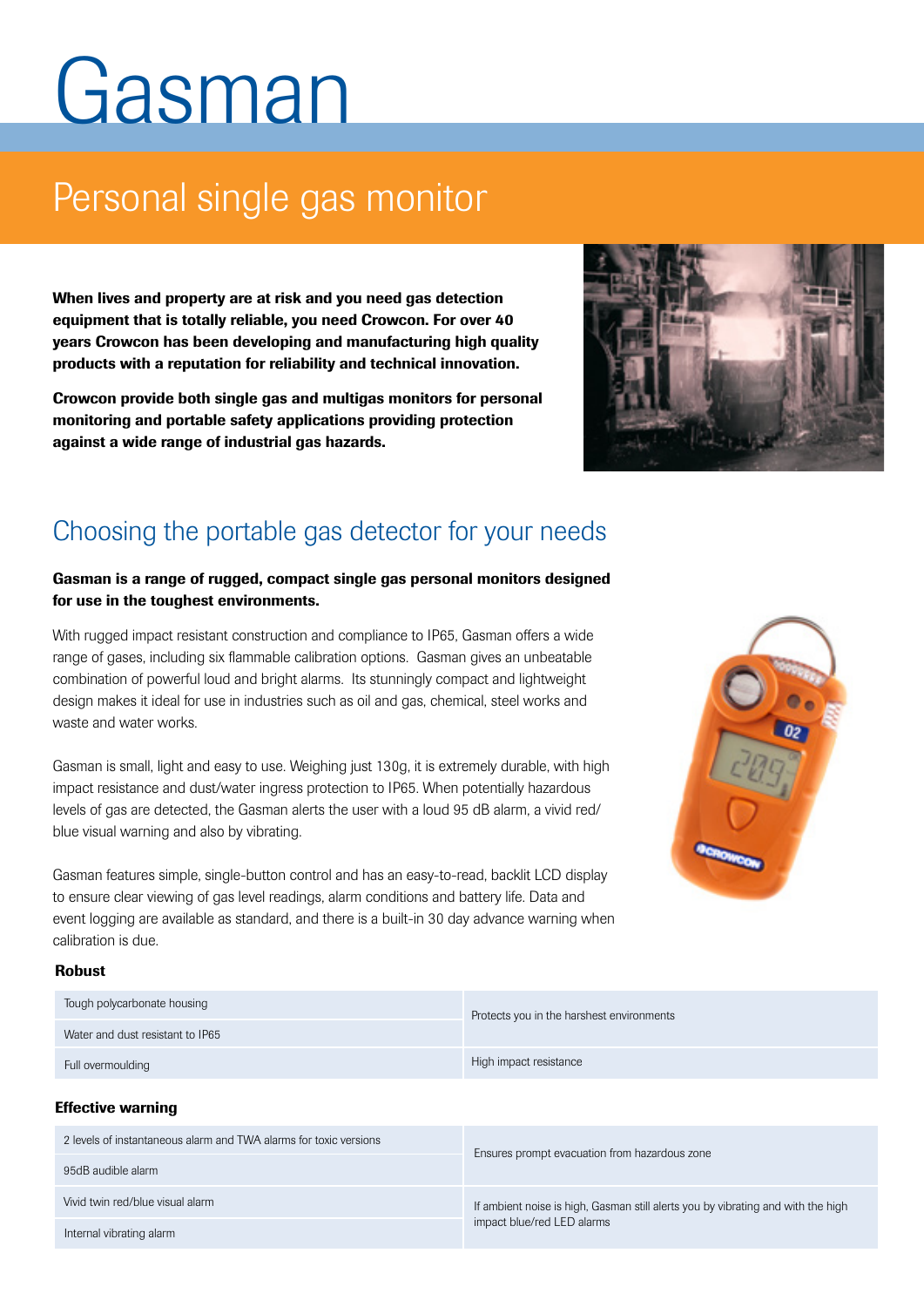# Gasman

## Personal single gas monitor

When lives and property are at risk and you need gas detection equipment that is totally reliable, you need Crowcon. For over 40 years Crowcon has been developing and manufacturing high quality products with a reputation for reliability and technical innovation.

Crowcon provide both single gas and multigas monitors for personal monitoring and portable safety applications providing protection against a wide range of industrial gas hazards.



### Choosing the portable gas detector for your needs

#### Gasman is a range of rugged, compact single gas personal monitors designed for use in the toughest environments.

With rugged impact resistant construction and compliance to IP65, Gasman offers a wide range of gases, including six flammable calibration options. Gasman gives an unbeatable combination of powerful loud and bright alarms. Its stunningly compact and lightweight design makes it ideal for use in industries such as oil and gas, chemical, steel works and waste and water works.

Gasman is small, light and easy to use. Weighing just 130g, it is extremely durable, with high impact resistance and dust/water ingress protection to IP65. When potentially hazardous levels of gas are detected, the Gasman alerts the user with a loud 95 dB alarm, a vivid red/ blue visual warning and also by vibrating.

Gasman features simple, single-button control and has an easy-to-read, backlit LCD display to ensure clear viewing of gas level readings, alarm conditions and battery life. Data and event logging are available as standard, and there is a built-in 30 day advance warning when calibration is due.



#### Robust

| Tough polycarbonate housing      | Protects you in the harshest environments |  |
|----------------------------------|-------------------------------------------|--|
| Water and dust resistant to IP65 |                                           |  |
| Full overmoulding                | High impact resistance                    |  |

#### Effective warning

| 2 levels of instantaneous alarm and TWA alarms for toxic versions |                                                                                                                |  |
|-------------------------------------------------------------------|----------------------------------------------------------------------------------------------------------------|--|
| 95dB audible alarm                                                | Ensures prompt evacuation from hazardous zone                                                                  |  |
| Vivid twin red/blue visual alarm                                  | If ambient noise is high, Gasman still alerts you by vibrating and with the high<br>impact blue/red LED alarms |  |
| Internal vibrating alarm                                          |                                                                                                                |  |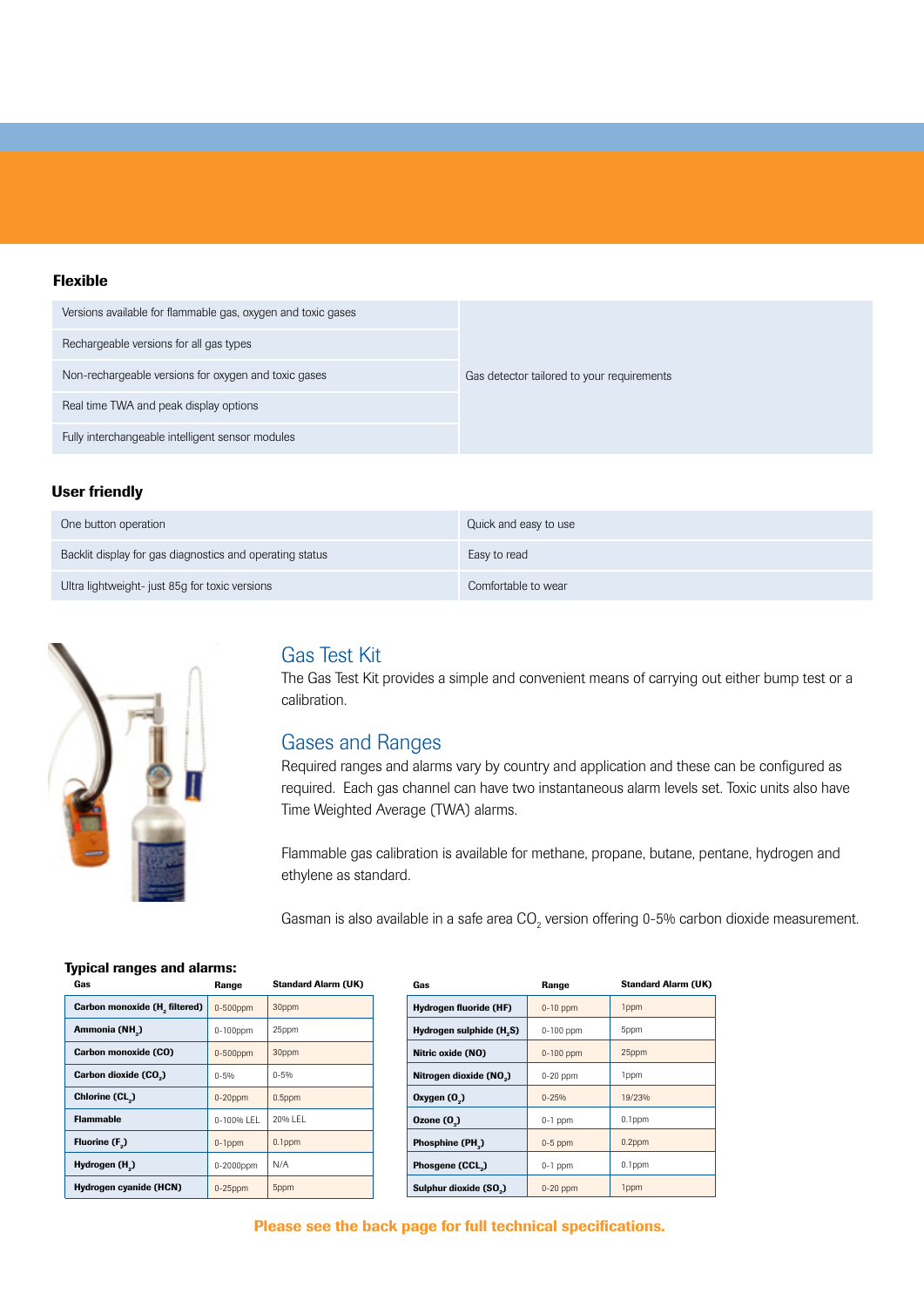#### Flexible

| Versions available for flammable gas, oxygen and toxic gases |                                            |
|--------------------------------------------------------------|--------------------------------------------|
| Rechargeable versions for all gas types                      |                                            |
| Non-rechargeable versions for oxygen and toxic gases         | Gas detector tailored to your requirements |
| Real time TWA and peak display options                       |                                            |
| Fully interchangeable intelligent sensor modules             |                                            |

#### User friendly

| One button operation                                     | Quick and easy to use |
|----------------------------------------------------------|-----------------------|
| Backlit display for gas diagnostics and operating status | Easy to read          |
| Ultra lightweight- just 85g for toxic versions           | Comfortable to wear   |



#### Gas Test Kit

The Gas Test Kit provides a simple and convenient means of carrying out either bump test or a calibration.

#### Gases and Ranges

Required ranges and alarms vary by country and application and these can be configured as required. Each gas channel can have two instantaneous alarm levels set. Toxic units also have Time Weighted Average (TWA) alarms.

Flammable gas calibration is available for methane, propane, butane, pentane, hydrogen and ethylene as standard.

Gasman is also available in a safe area CO<sub>2</sub> version offering 0-5% carbon dioxide measurement.

| Gas                                       | Range       | <b>Standard Alarm (UK)</b> |
|-------------------------------------------|-------------|----------------------------|
| Carbon monoxide (H <sub>2</sub> filtered) | $0-500$ ppm | 30ppm                      |
| Ammonia (NH <sub>2</sub> )                | $0-100$ ppm | 25ppm                      |
| Carbon monoxide (CO)                      | $0-500$ ppm | 30ppm                      |
| Carbon dioxide (CO.)                      | $0 - 5%$    | $0 - 5%$                   |
| Chlorine (CL)                             | $0-20$ ppm  | $0.5$ ppm                  |
| <b>Flammable</b>                          | 0-100% LEL  | 20% I FI                   |
| Fluorine (F.)                             | $0-1$ ppm   | $0.1$ ppm                  |
| Hydrogen (H <sub>2</sub> )                | 0-2000ppm   | N/A                        |
| Hydrogen cyanide (HCN)                    | $0-25$ ppm  | 5ppm                       |

| Gas                                  | Range       | <b>Standard Alarm (UK)</b> |
|--------------------------------------|-------------|----------------------------|
| Hydrogen fluoride (HF)               | $0-10$ ppm  | 1ppm                       |
| Hydrogen sulphide (H <sub>2</sub> S) | $0-100$ ppm | 5ppm                       |
| Nitric oxide (NO)                    | $0-100$ ppm | 25ppm                      |
| Nitrogen dioxide (NO2)               | $0-20$ ppm  | 1ppm                       |
| Oxygen $(0)$                         | $0 - 25%$   | 19/23%                     |
| Ozone $(0, )$                        | $0-1$ ppm   | $0.1$ ppm                  |
| Phosphine (PH.)                      | $0-5$ ppm   | $0.2$ ppm                  |
| Phosgene (CCL)                       | $0-1$ ppm   | $0.1$ ppm                  |
| Sulphur dioxide (SO <sub>2</sub> )   | $0-20$ ppm  | 1ppm                       |

#### Please see the back page for full technical specifications.

#### Typical ranges and alarms: